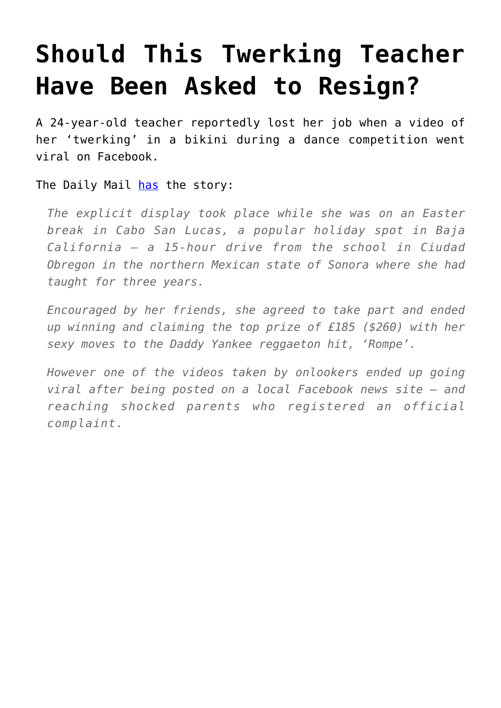## **[Should This Twerking Teacher](https://intellectualtakeout.org/2016/04/should-this-twerking-teacher-have-been-asked-to-resign/) [Have Been Asked to Resign?](https://intellectualtakeout.org/2016/04/should-this-twerking-teacher-have-been-asked-to-resign/)**

A 24-year-old teacher reportedly lost her job when a video of her 'twerking' in a bikini during a dance competition went viral on Facebook.

The Daily Mail [has](http://www.dailymail.co.uk/news/article-3532399/Primary-school-teacher-sacked-video-twerking-bikini-Mexico-sweeps-web-spotted-outraged-parents.html#ixzz45RrT9JYn%20) the story:

*The explicit display took place while she was on an Easter break in Cabo San Lucas, a popular holiday spot in Baja California – a 15-hour drive from the school in Ciudad Obregon in the northern Mexican state of Sonora where she had taught for three years.*

*Encouraged by her friends, she agreed to take part and ended up winning and claiming the top prize of £185 (\$260) with her sexy moves to the Daddy Yankee reggaeton hit, 'Rompe'.*

*However one of the videos taken by onlookers ended up going viral after being posted on a local Facebook news site – and reaching shocked parents who registered an official complaint.*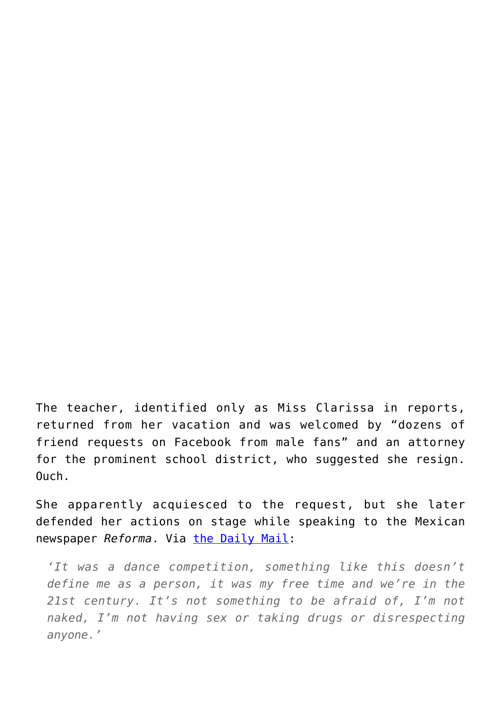The teacher, identified only as Miss Clarissa in reports, returned from her vacation and was welcomed by "dozens of friend requests on Facebook from male fans" and an attorney for the prominent school district, who suggested she resign. Ouch.

She apparently acquiesced to the request, but she later defended her actions on stage while speaking to the Mexican newspaper *Reforma*. Via [the Daily Mail](http://www.dailymail.co.uk/news/article-3532399/Primary-school-teacher-sacked-video-twerking-bikini-Mexico-sweeps-web-spotted-outraged-parents.html#ixzz45RrT9JYn%20):

*'It was a dance competition, something like this doesn't define me as a person, it was my free time and we're in the 21st century. It's not something to be afraid of, I'm not naked, I'm not having sex or taking drugs or disrespecting anyone.'*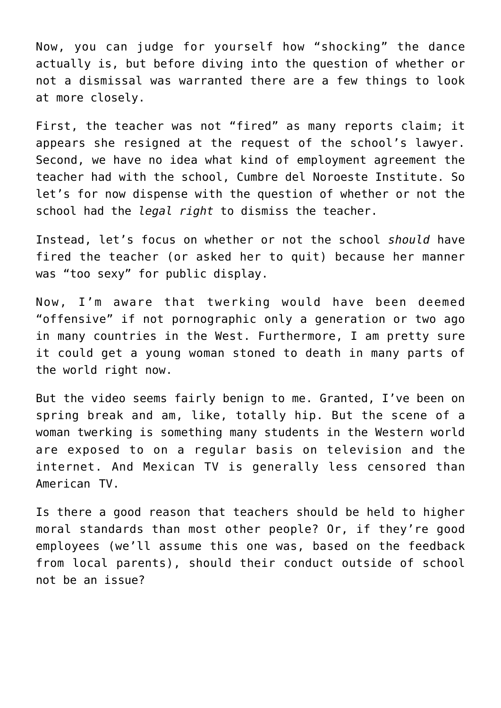Now, you can judge for yourself how "shocking" the dance actually is, but before diving into the question of whether or not a dismissal was warranted there are a few things to look at more closely.

First, the teacher was not "fired" as many reports claim; it appears she resigned at the request of the school's lawyer. Second, we have no idea what kind of employment agreement the teacher had with the school, Cumbre del Noroeste Institute. So let's for now dispense with the question of whether or not the school had the *legal right* to dismiss the teacher.

Instead, let's focus on whether or not the school *should* have fired the teacher (or asked her to quit) because her manner was "too sexy" for public display.

Now, I'm aware that twerking would have been deemed "offensive" if not pornographic only a generation or two ago in many countries in the West. Furthermore, I am pretty sure it could get a young woman stoned to death in many parts of the world right now.

But the video seems fairly benign to me. Granted, I've been on spring break and am, like, totally hip. But the scene of a woman twerking is something many students in the Western world are exposed to on a regular basis on television and the internet. And Mexican TV is generally less censored than American TV.

Is there a good reason that teachers should be held to higher moral standards than most other people? Or, if they're good employees (we'll assume this one was, based on the feedback from local parents), should their conduct outside of school not be an issue?